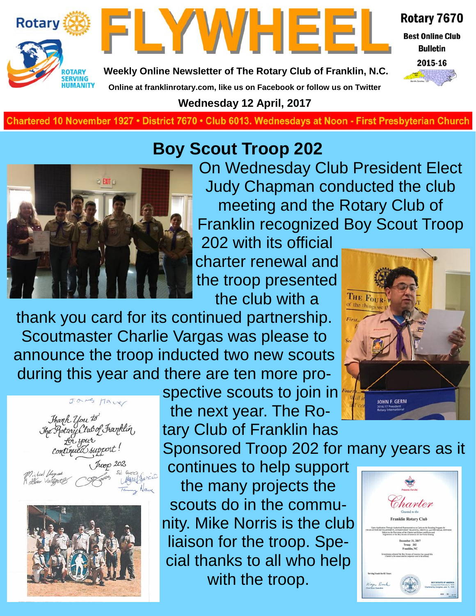



Rotary 7670

**Best Online Club Bulletin** 



**Weekly Online Newsletter of The Rotary Club of Franklin, N.C.**

**Online at franklinrotary.com, like us on Facebook or follow us on Twitter Wednesday 12 April, 2017**

**Charted November 29, 1927 • District 7670 • Club 6013 Wednesdays at Noon - First Presbyterian Church**

#### **Boy Scout Troop 202**



On Wednesday Club President Elect Judy Chapman conducted the club meeting and the Rotary Club of Franklin recognized Boy Scout Troop

202 with its official charter renewal and the troop presented the club with a

thank you card for its continued partnership. Scoutmaster Charlie Vargas was please to announce the troop inducted two new scouts during this year and there are ten more pro-





spective scouts to join in the next year. The Ro-

tary Club of Franklin has Sponsored Troop 202 for many years as it continues to help support the many projects the scouts do in the commuharter nity. Mike Norris is the club liaison for the troop. Special thanks to all who help with the troop.



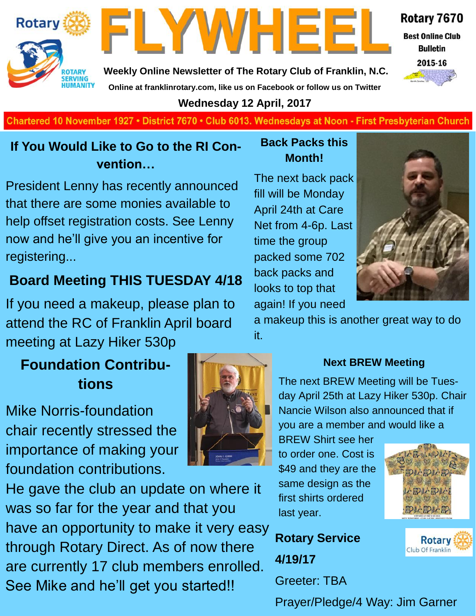#### Rotary 7670

**Best Online Club Bulletin** 



**Rotary** 

**Weekly Online Newsletter of The Rotary Club of Franklin, N.C. Online at franklinrotary.com, like us on Facebook or follow us on Twitter**

FLYWHEE



#### **Wednesday 12 April, 2017**

**Charted November 29, 1927 • District 7670 • Club 6013 Wednesdays at Noon - First Presbyterian Church**

#### **If You Would Like to Go to the RI Convention…**

President Lenny has recently announced that there are some monies available to help offset registration costs. See Lenny now and he'll give you an incentive for registering...

#### **Board Meeting THIS TUESDAY 4/18**

If you need a makeup, please plan to attend the RC of Franklin April board meeting at Lazy Hiker 530p

#### **Foundation Contributions**

Mike Norris-foundation chair recently stressed the importance of making your foundation contributions.

He gave the club an update on where it was so far for the year and that you have an opportunity to make it very easy through Rotary Direct. As of now there are currently 17 club members enrolled. See Mike and he'll get you started!!

#### **Back Packs this Month!**

The next back pack fill will be Monday April 24th at Care Net from 4-6p. Last time the group packed some 702 back packs and looks to top that again! If you need



a makeup this is another great way to do it.



#### **Next BREW Meeting**

The next BREW Meeting will be Tuesday April 25th at Lazy Hiker 530p. Chair Nancie Wilson also announced that if you are a member and would like a

BREW Shirt see her to order one. Cost is \$49 and they are the same design as the first shirts ordered last year.

**Rotary Service 4/19/17** Greeter: TBA



**Rotary** Club Of Franklin

Prayer/Pledge/4 Way: Jim Garner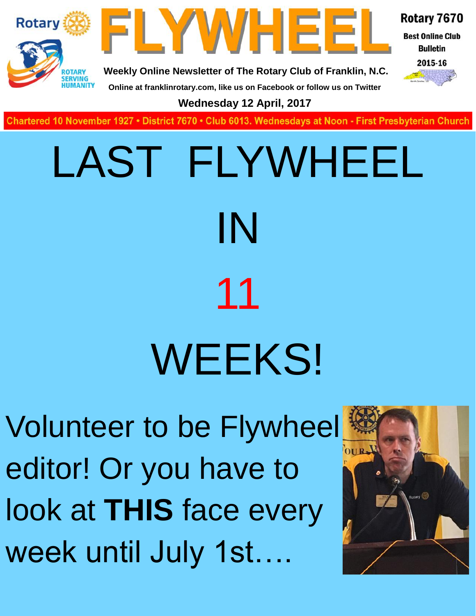

**Charted November 29, 1927 • District 7670 • Club 6013 Wednesdays at Noon - First Presbyterian Church**

# LAST FLYWHEEL IN 11 WEEKS!

Volunteer to be Flywheel editor! Or you have to look at **THIS** face every week until July 1st….

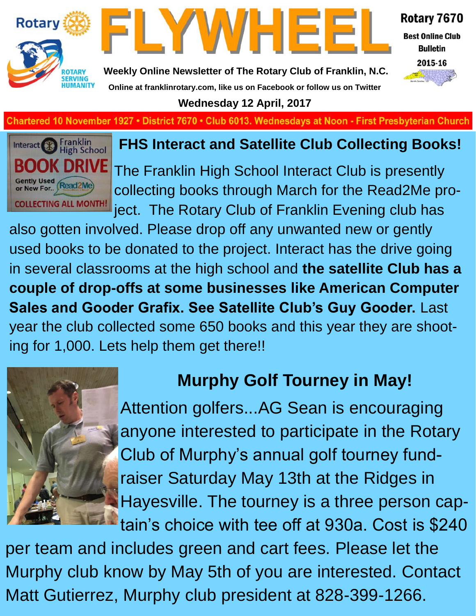



Rotary 7670

**Best Online Club Bulletin** 



**Weekly Online Newsletter of The Rotary Club of Franklin, N.C. Online at franklinrotary.com, like us on Facebook or follow us on Twitter**

**Wednesday 12 April, 2017**

**Chartered 10 November 1927 • District 7670 • Club 6013. Wednesdays at Noon - First Presbyterian Church** 



#### **FHS Interact and Satellite Club Collecting Books!**

The Franklin High School Interact Club is presently collecting books through March for the Read2Me project. The Rotary Club of Franklin Evening club has

also gotten involved. Please drop off any unwanted new or gently used books to be donated to the project. Interact has the drive going in several classrooms at the high school and **the satellite Club has a couple of drop-offs at some businesses like American Computer Sales and Gooder Grafix. See Satellite Club's Guy Gooder.** Last year the club collected some 650 books and this year they are shooting for 1,000. Lets help them get there!!



#### **Murphy Golf Tourney in May!**

Attention golfers...AG Sean is encouraging anyone interested to participate in the Rotary Club of Murphy's annual golf tourney fundraiser Saturday May 13th at the Ridges in Hayesville. The tourney is a three person captain's choice with tee off at 930a. Cost is \$240

per team and includes green and cart fees. Please let the Murphy club know by May 5th of you are interested. Contact Matt Gutierrez, Murphy club president at 828-399-1266.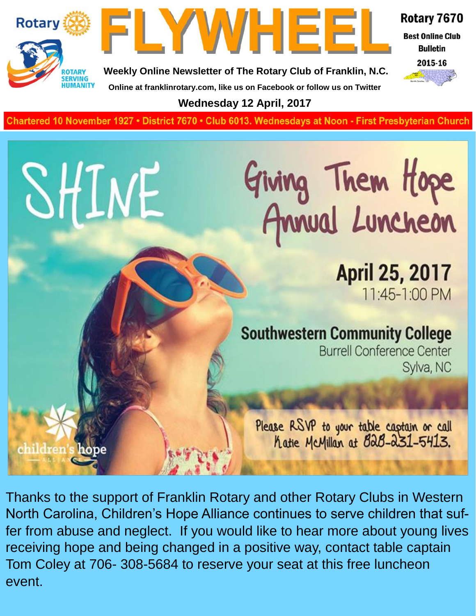

SHINE

children's hope



Rotary 7670

**Best Online Club Bulletin** 



**Weekly Online Newsletter of The Rotary Club of Franklin, N.C. Online at franklinrotary.com, like us on Facebook or follow us on Twitter**

**Wednesday 12 April, 2017**

**Charted November 29, 1927 • District 7670 • Club 6013 Wednesdays at Noon - First Presbyterian Church**

# Giving Them Hope<br>Annual Luncheon

**April 25, 2017** 11:45-1:00 PM

#### **Southwestern Community College**

**Burrell Conference Center** Sylva, NC

Please RSVP to your table captain or call<br>hatie McMillan at B2B-231-5413.

Thanks to the support of Franklin Rotary and other Rotary Clubs in Western North Carolina, Children's Hope Alliance continues to serve children that suffer from abuse and neglect. If you would like to hear more about young lives receiving hope and being changed in a positive way, contact table captain Tom Coley at 706- 308-5684 to reserve your seat at this free luncheon event.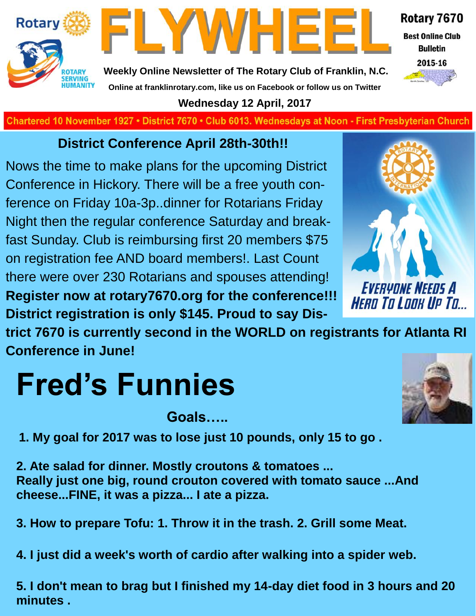



Rotary 7670 **Best Online Club** 

**Bulletin** 

2015-16

**Weekly Online Newsletter of The Rotary Club of Franklin, N.C. Online at franklinrotary.com, like us on Facebook or follow us on Twitter**

**Wednesday 12 April, 2017**

**Charted November 29, 1927 • District 7670 • Club 6013 Wednesdays at Noon - First Presbyterian Church**

#### **District Conference April 28th-30th!!**

Nows the time to make plans for the upcoming District Conference in Hickory. There will be a free youth conference on Friday 10a-3p..dinner for Rotarians Friday Night then the regular conference Saturday and breakfast Sunday. Club is reimbursing first 20 members \$75 on registration fee AND board members!. Last Count there were over 230 Rotarians and spouses attending! **Register now at rotary7670.org for the conference!!! District registration is only \$145. Proud to say Dis-**



**trict 7670 is currently second in the WORLD on registrants for Atlanta RI Conference in June!**

# **Fred's Funnies**

**Goals…..**

**1. My goal for 2017 was to lose just 10 pounds, only 15 to go .**

**2. Ate salad for dinner. Mostly croutons & tomatoes ... Really just one big, round crouton covered with tomato sauce ...And cheese...FINE, it was a pizza... I ate a pizza.**

**3. How to prepare Tofu: 1. Throw it in the trash. 2. Grill some Meat.**

**4. I just did a week's worth of cardio after walking into a spider web.**

**5. I don't mean to brag but I finished my 14-day diet food in 3 hours and 20 minutes .**